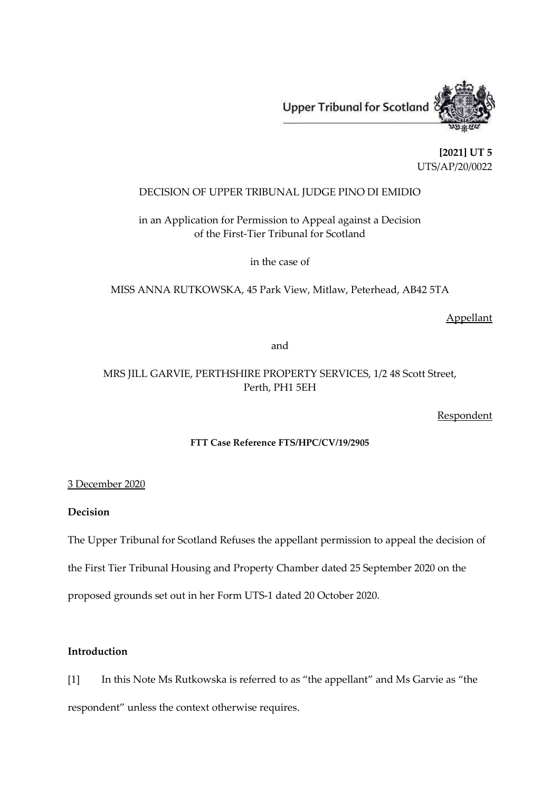

**[2021] UT 5** UTS/AP/20/0022

## DECISION OF UPPER TRIBUNAL JUDGE PINO DI EMIDIO

# in an Application for Permission to Appeal against a Decision of the First-Tier Tribunal for Scotland

in the case of

MISS ANNA RUTKOWSKA, 45 Park View, Mitlaw, Peterhead, AB42 5TA

Appellant

and

# MRS JILL GARVIE, PERTHSHIRE PROPERTY SERVICES, 1/2 48 Scott Street, Perth, PH1 5EH

Respondent

## **FTT Case Reference FTS/HPC/CV/19/2905**

3 December 2020

# **Decision**

The Upper Tribunal for Scotland Refuses the appellant permission to appeal the decision of

the First Tier Tribunal Housing and Property Chamber dated 25 September 2020 on the

proposed grounds set out in her Form UTS-1 dated 20 October 2020.

## **Introduction**

[1] In this Note Ms Rutkowska is referred to as "the appellant" and Ms Garvie as "the respondent" unless the context otherwise requires.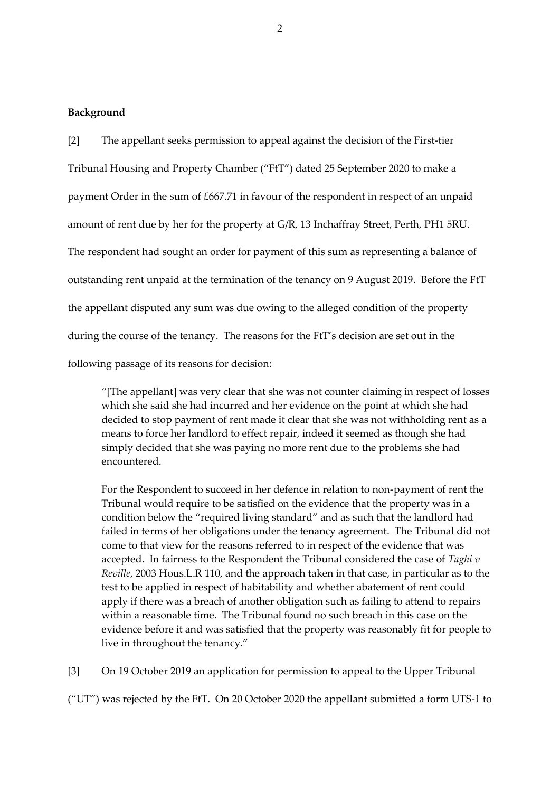#### **Background**

[2] The appellant seeks permission to appeal against the decision of the First-tier Tribunal Housing and Property Chamber ("FtT") dated 25 September 2020 to make a payment Order in the sum of £667.71 in favour of the respondent in respect of an unpaid amount of rent due by her for the property at G/R, 13 Inchaffray Street, Perth, PH1 5RU. The respondent had sought an order for payment of this sum as representing a balance of outstanding rent unpaid at the termination of the tenancy on 9 August 2019. Before the FtT the appellant disputed any sum was due owing to the alleged condition of the property during the course of the tenancy. The reasons for the FtT's decision are set out in the

following passage of its reasons for decision:

"[The appellant] was very clear that she was not counter claiming in respect of losses which she said she had incurred and her evidence on the point at which she had decided to stop payment of rent made it clear that she was not withholding rent as a means to force her landlord to effect repair, indeed it seemed as though she had simply decided that she was paying no more rent due to the problems she had encountered.

For the Respondent to succeed in her defence in relation to non-payment of rent the Tribunal would require to be satisfied on the evidence that the property was in a condition below the "required living standard" and as such that the landlord had failed in terms of her obligations under the tenancy agreement. The Tribunal did not come to that view for the reasons referred to in respect of the evidence that was accepted. In fairness to the Respondent the Tribunal considered the case of *Taghi v Reville*, 2003 Hous.L.R 110, and the approach taken in that case, in particular as to the test to be applied in respect of habitability and whether abatement of rent could apply if there was a breach of another obligation such as failing to attend to repairs within a reasonable time. The Tribunal found no such breach in this case on the evidence before it and was satisfied that the property was reasonably fit for people to live in throughout the tenancy."

[3] On 19 October 2019 an application for permission to appeal to the Upper Tribunal

("UT") was rejected by the FtT. On 20 October 2020 the appellant submitted a form UTS-1 to

2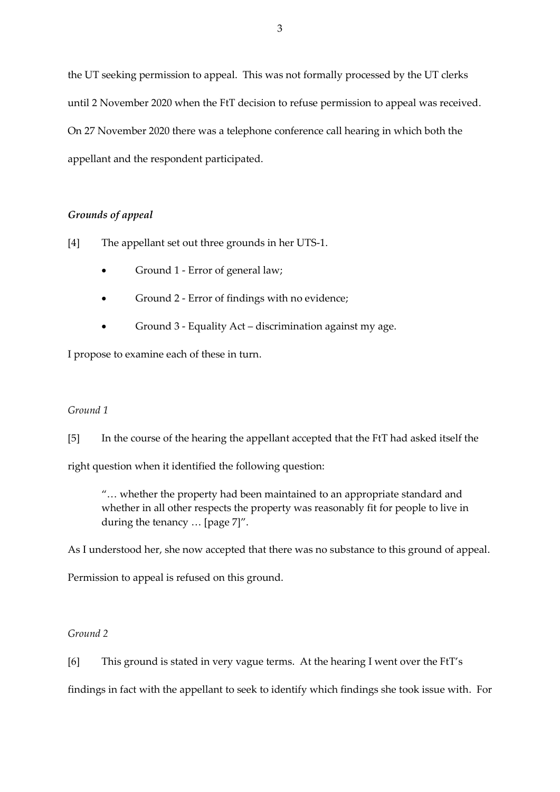the UT seeking permission to appeal. This was not formally processed by the UT clerks until 2 November 2020 when the FtT decision to refuse permission to appeal was received. On 27 November 2020 there was a telephone conference call hearing in which both the appellant and the respondent participated.

## *Grounds of appeal*

[4] The appellant set out three grounds in her UTS-1.

- Ground 1 Error of general law;
- Ground 2 Error of findings with no evidence;
- Ground 3 Equality Act discrimination against my age.

I propose to examine each of these in turn.

## *Ground 1*

[5] In the course of the hearing the appellant accepted that the FtT had asked itself the

right question when it identified the following question:

"… whether the property had been maintained to an appropriate standard and whether in all other respects the property was reasonably fit for people to live in during the tenancy … [page 7]".

As I understood her, she now accepted that there was no substance to this ground of appeal.

Permission to appeal is refused on this ground.

# *Ground 2*

[6] This ground is stated in very vague terms. At the hearing I went over the FtT's findings in fact with the appellant to seek to identify which findings she took issue with. For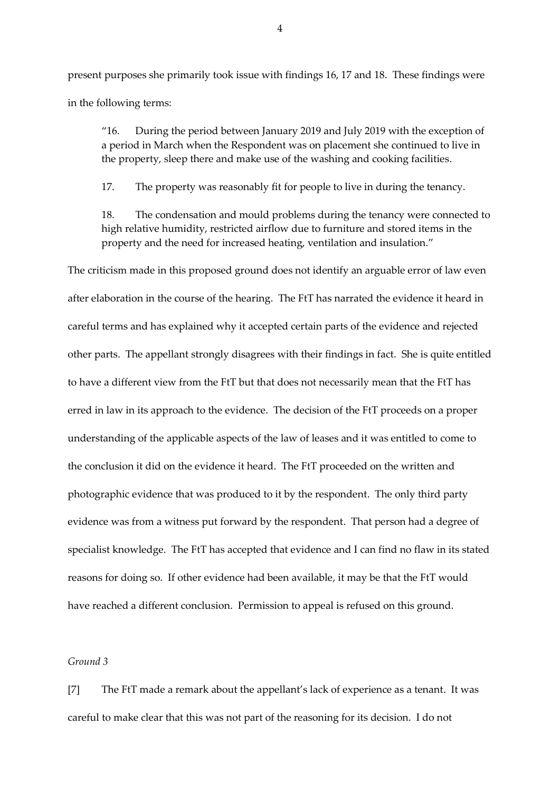present purposes she primarily took issue with findings 16, 17 and 18. These findings were in the following terms:

"16. During the period between January 2019 and July 2019 with the exception of a period in March when the Respondent was on placement she continued to live in the property, sleep there and make use of the washing and cooking facilities.

17. The property was reasonably fit for people to live in during the tenancy.

18. The condensation and mould problems during the tenancy were connected to high relative humidity, restricted airflow due to furniture and stored items in the property and the need for increased heating, ventilation and insulation."

The criticism made in this proposed ground does not identify an arguable error of law even after elaboration in the course of the hearing. The FtT has narrated the evidence it heard in careful terms and has explained why it accepted certain parts of the evidence and rejected other parts. The appellant strongly disagrees with their findings in fact. She is quite entitled to have a different view from the FtT but that does not necessarily mean that the FtT has erred in law in its approach to the evidence. The decision of the FtT proceeds on a proper understanding of the applicable aspects of the law of leases and it was entitled to come to the conclusion it did on the evidence it heard. The FtT proceeded on the written and photographic evidence that was produced to it by the respondent. The only third party evidence was from a witness put forward by the respondent. That person had a degree of specialist knowledge. The FtT has accepted that evidence and I can find no flaw in its stated reasons for doing so. If other evidence had been available, it may be that the FtT would have reached a different conclusion. Permission to appeal is refused on this ground.

#### *Ground 3*

[7] The FtT made a remark about the appellant's lack of experience as a tenant. It was careful to make clear that this was not part of the reasoning for its decision. I do not

4